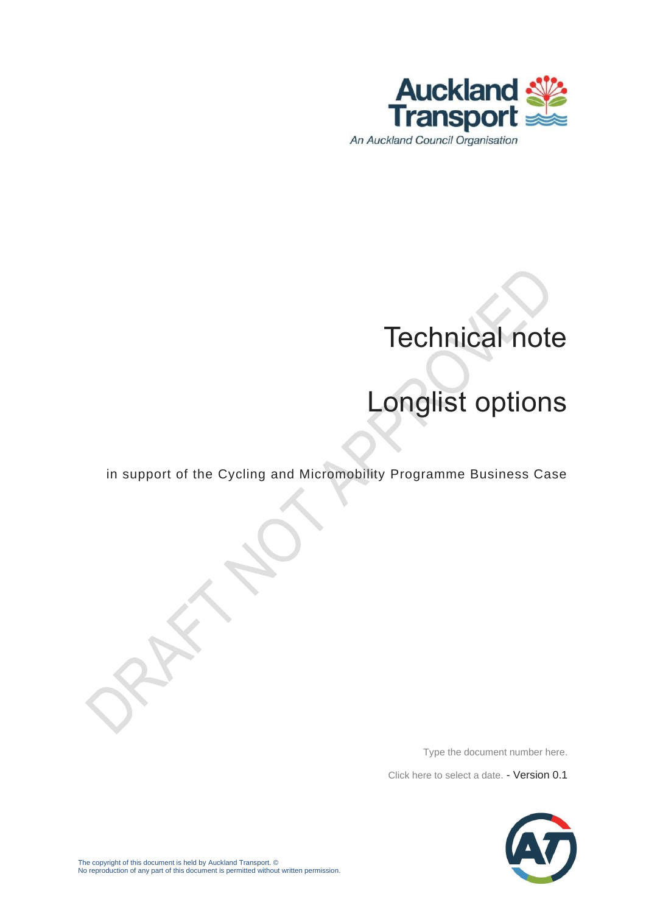

# Technical note

# Longlist options

in support of the Cycling and Micromobility Programme Business Case

Type the document number here.

Click here to select a date. - Version 0.1

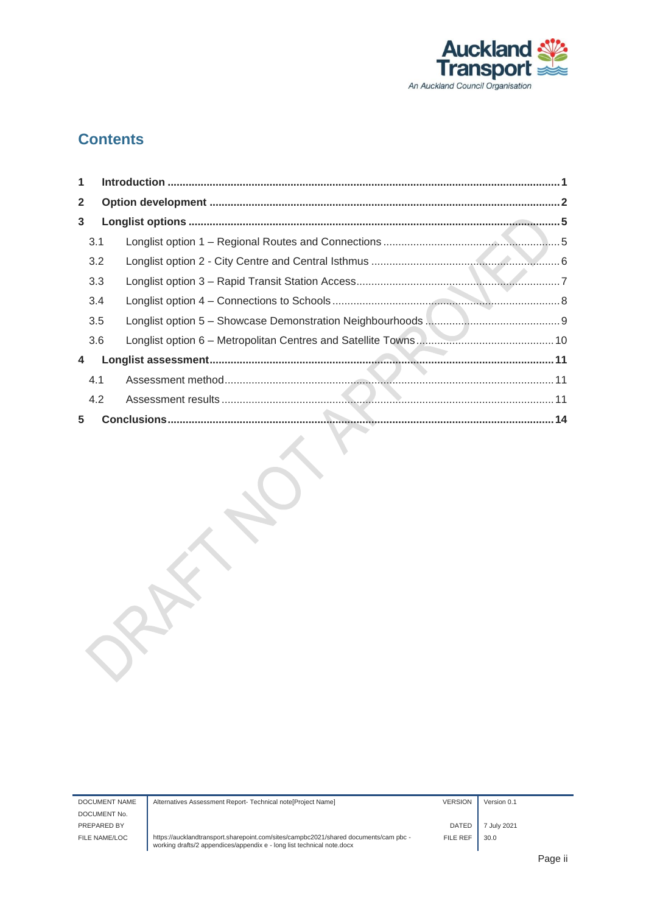

#### **Contents**

| $\mathbf 1$  |     |  |
|--------------|-----|--|
| $\mathbf{2}$ |     |  |
| $\mathbf{3}$ |     |  |
|              | 3.1 |  |
|              | 3.2 |  |
|              | 3.3 |  |
|              | 3.4 |  |
|              | 3.5 |  |
|              | 3.6 |  |
| 4            |     |  |
|              | 4.1 |  |
|              | 4.2 |  |
| 5            |     |  |

| DOCUMENT NAME | Alternatives Assessment Report- Technical note [Project Name]                                                                                                  | <b>VERSION</b> | Version 0.1 |      |
|---------------|----------------------------------------------------------------------------------------------------------------------------------------------------------------|----------------|-------------|------|
| DOCUMENT No.  |                                                                                                                                                                |                |             |      |
| PREPARED BY   |                                                                                                                                                                | <b>DATED</b>   | 7 July 2021 |      |
| FILE NAME/LOC | https://aucklandtransport.sharepoint.com/sites/campbc2021/shared documents/cam pbc -<br>working drafts/2 appendices/appendix e - long list technical note.docx | FILE REF       | 30.0        |      |
|               |                                                                                                                                                                |                |             | Dooc |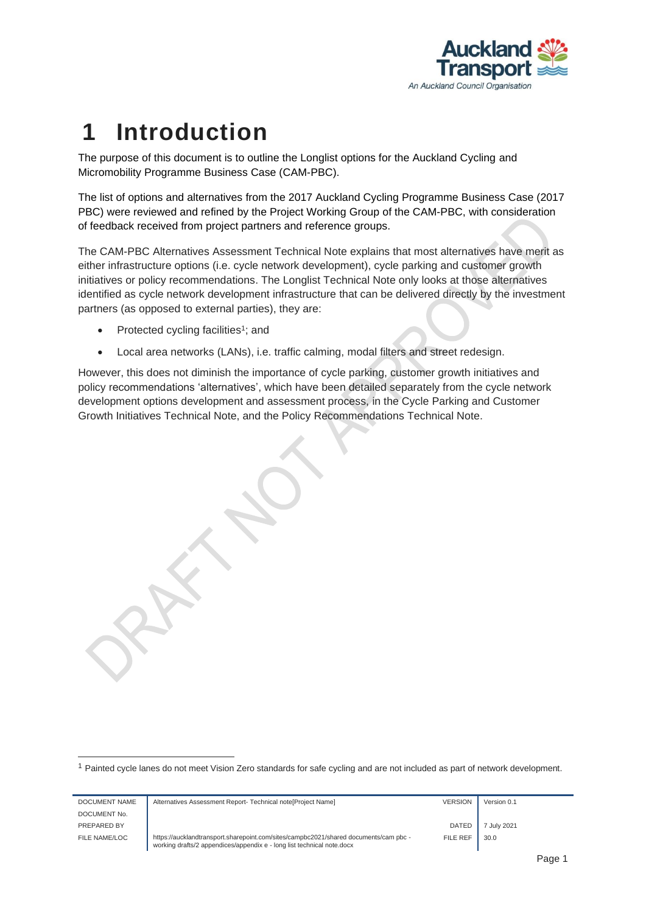

## <span id="page-2-0"></span>**1 Introduction**

The purpose of this document is to outline the Longlist options for the Auckland Cycling and Micromobility Programme Business Case (CAM-PBC).

The list of options and alternatives from the 2017 Auckland Cycling Programme Business Case (2017 PBC) were reviewed and refined by the Project Working Group of the CAM-PBC, with consideration of feedback received from project partners and reference groups.

The CAM-PBC Alternatives Assessment Technical Note explains that most alternatives have merit as either infrastructure options (i.e. cycle network development), cycle parking and customer growth initiatives or policy recommendations. The Longlist Technical Note only looks at those alternatives identified as cycle network development infrastructure that can be delivered directly by the investment partners (as opposed to external parties), they are:

• Protected cycling facilities<sup>1</sup>; and

DOCUME

• Local area networks (LANs), i.e. traffic calming, modal filters and street redesign.

However, this does not diminish the importance of cycle parking, customer growth initiatives and policy recommendations 'alternatives', which have been detailed separately from the cycle network development options development and assessment process, in the Cycle Parking and Customer Growth Initiatives Technical Note, and the Policy Recommendations Technical Note.

<sup>1</sup> Painted cycle lanes do not meet Vision Zero standards for safe cycling and are not included as part of network development.

| DOCUMENT NAME | Alternatives Assessment Report- Technical note [Project Name]                                                                                                  | <b>VERSION</b> | Version 0.1 |  |
|---------------|----------------------------------------------------------------------------------------------------------------------------------------------------------------|----------------|-------------|--|
|               |                                                                                                                                                                |                |             |  |
| DOCUMENT No.  |                                                                                                                                                                |                |             |  |
| PREPARED BY   |                                                                                                                                                                | <b>DATED</b>   | 7 July 2021 |  |
| FILE NAME/LOC | https://aucklandtransport.sharepoint.com/sites/campbc2021/shared documents/cam pbc -<br>working drafts/2 appendices/appendix e - long list technical note.docx | FILE REF       | 30.0        |  |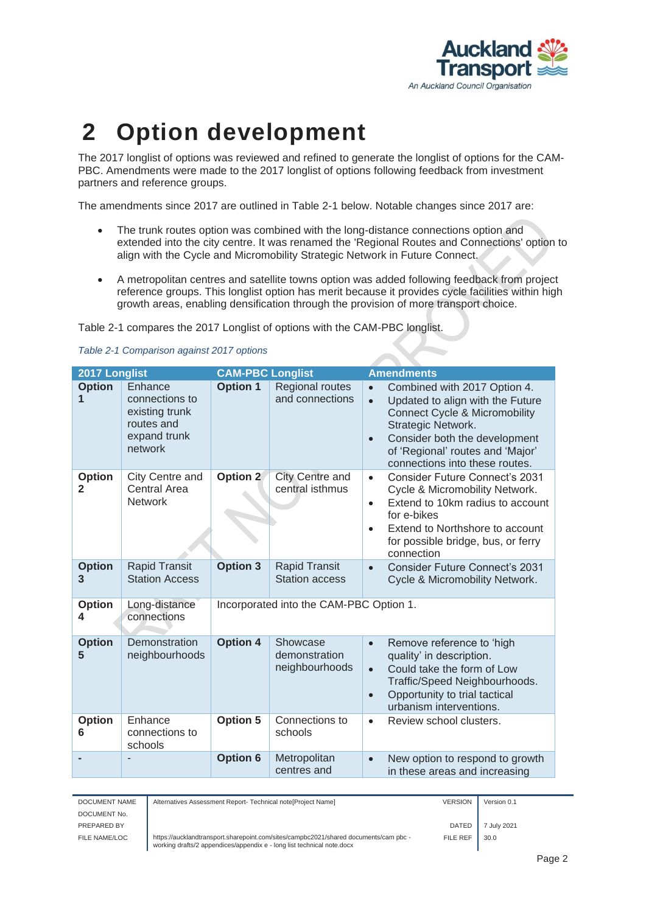

## <span id="page-3-0"></span>**2 Option development**

The 2017 longlist of options was reviewed and refined to generate the longlist of options for the CAM-PBC. Amendments were made to the 2017 longlist of options following feedback from investment partners and reference groups.

The amendments since 2017 are outlined in [Table 2-1](#page-3-1) below. Notable changes since 2017 are:

- The trunk routes option was combined with the long-distance connections option and extended into the city centre. It was renamed the 'Regional Routes and Connections' option to align with the Cycle and Micromobility Strategic Network in Future Connect.
- A metropolitan centres and satellite towns option was added following feedback from project reference groups. This longlist option has merit because it provides cycle facilities within high growth areas, enabling densification through the provision of more transport choice.

Table 2-1 compares the 2017 Longlist of options with the CAM-PBC longlist.

| 2017 Longlist      |                                                                                      | <b>CAM-PBC Longlist</b> |                                               | <b>Amendments</b>                                                                                                                                                                                                                                                                |
|--------------------|--------------------------------------------------------------------------------------|-------------------------|-----------------------------------------------|----------------------------------------------------------------------------------------------------------------------------------------------------------------------------------------------------------------------------------------------------------------------------------|
| <b>Option</b><br>1 | Enhance<br>connections to<br>existing trunk<br>routes and<br>expand trunk<br>network | <b>Option 1</b>         | Regional routes<br>and connections            | Combined with 2017 Option 4.<br>$\bullet$<br>Updated to align with the Future<br>$\bullet$<br><b>Connect Cycle &amp; Micromobility</b><br>Strategic Network.<br>Consider both the development<br>$\bullet$<br>of 'Regional' routes and 'Major'<br>connections into these routes. |
| <b>Option</b><br>2 | City Centre and<br><b>Central Area</b><br><b>Network</b>                             | Option 2                | <b>City Centre and</b><br>central isthmus     | <b>Consider Future Connect's 2031</b><br>$\bullet$<br>Cycle & Micromobility Network.<br>Extend to 10km radius to account<br>$\bullet$<br>for e-bikes<br>Extend to Northshore to account<br>$\bullet$<br>for possible bridge, bus, or ferry<br>connection                         |
| <b>Option</b><br>3 | <b>Rapid Transit</b><br><b>Station Access</b>                                        | <b>Option 3</b>         | <b>Rapid Transit</b><br><b>Station access</b> | <b>Consider Future Connect's 2031</b><br>$\bullet$<br>Cycle & Micromobility Network.                                                                                                                                                                                             |
| <b>Option</b><br>4 | Long-distance<br>connections                                                         |                         | Incorporated into the CAM-PBC Option 1.       |                                                                                                                                                                                                                                                                                  |
| <b>Option</b><br>5 | Demonstration<br>neighbourhoods                                                      | <b>Option 4</b>         | Showcase<br>demonstration<br>neighbourhoods   | Remove reference to 'high<br>$\bullet$<br>quality' in description.<br>Could take the form of Low<br>$\bullet$<br>Traffic/Speed Neighbourhoods.<br>Opportunity to trial tactical<br>$\bullet$<br>urbanism interventions.                                                          |
| <b>Option</b><br>6 | Enhance<br>connections to<br>schools                                                 | <b>Option 5</b>         | Connections to<br>schools                     | Review school clusters.<br>$\bullet$                                                                                                                                                                                                                                             |
|                    |                                                                                      | <b>Option 6</b>         | Metropolitan<br>centres and                   | New option to respond to growth<br>$\bullet$<br>in these areas and increasing                                                                                                                                                                                                    |

<span id="page-3-1"></span>

|  | Table 2-1 Comparison against 2017 options |  |
|--|-------------------------------------------|--|
|  |                                           |  |

| DOCUMENT NAME | Alternatives Assessment Report- Technical note [Project Name]                                                                                                  | <b>VERSION</b> | Version 0.1 |
|---------------|----------------------------------------------------------------------------------------------------------------------------------------------------------------|----------------|-------------|
| DOCUMENT No.  |                                                                                                                                                                |                |             |
| PREPARED BY   |                                                                                                                                                                | DATED          | 7 July 2021 |
| FILE NAME/LOC | https://aucklandtransport.sharepoint.com/sites/campbc2021/shared documents/cam pbc -<br>working drafts/2 appendices/appendix e - long list technical note.docx | FILE REF       | 30.0        |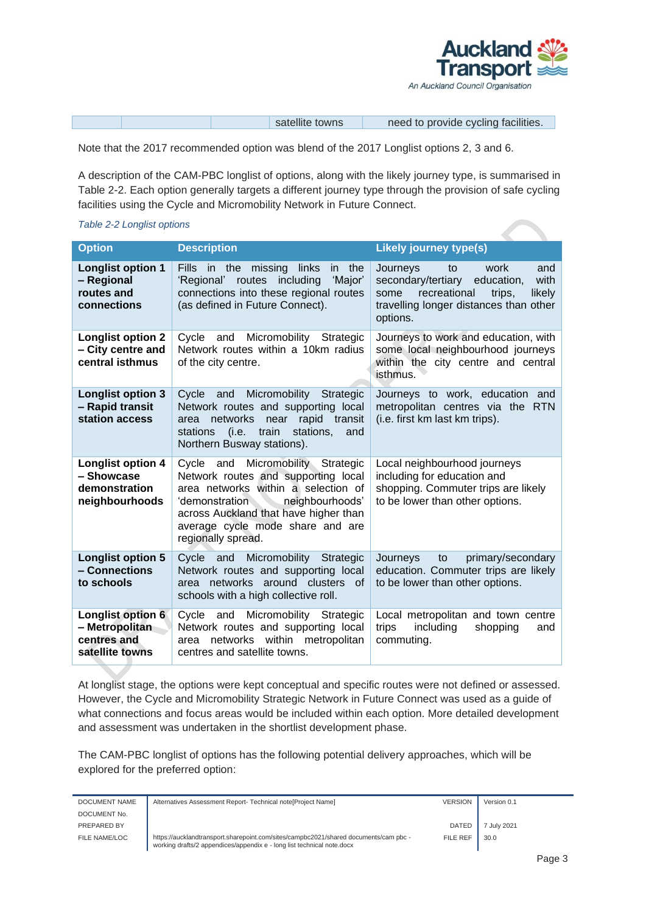

| need to provide cycling facilities.<br>satellite towns |  |
|--------------------------------------------------------|--|

Note that the 2017 recommended option was blend of the 2017 Longlist options 2, 3 and 6.

A description of the CAM-PBC longlist of options, along with the likely journey type, is summarised in [Table 2-2.](#page-4-0) Each option generally targets a different journey type through the provision of safe cycling facilities using the Cycle and Micromobility Network in Future Connect.

#### <span id="page-4-0"></span>*Table 2-2 Longlist options*

| <b>Option</b>                                                             | <b>Description</b>                                                                                                                                                                                                                                         | <b>Likely journey type(s)</b>                                                                                                                                               |
|---------------------------------------------------------------------------|------------------------------------------------------------------------------------------------------------------------------------------------------------------------------------------------------------------------------------------------------------|-----------------------------------------------------------------------------------------------------------------------------------------------------------------------------|
| <b>Longlist option 1</b><br>- Regional<br>routes and<br>connections       | <b>Fills</b><br>missing<br>in the<br>links<br>in the<br>'Regional' routes including<br>'Major'<br>connections into these regional routes<br>(as defined in Future Connect).                                                                                | work<br>and<br>Journeys<br>to<br>secondary/tertiary<br>education,<br>with<br>recreational<br>likely<br>some<br>trips,<br>travelling longer distances than other<br>options. |
| <b>Longlist option 2</b><br>- City centre and<br>central isthmus          | Cycle<br>Micromobility<br>Strategic<br>and<br>Network routes within a 10km radius<br>of the city centre.                                                                                                                                                   | Journeys to work and education, with<br>some local neighbourhood journeys<br>within the city centre and central<br>isthmus.                                                 |
| <b>Longlist option 3</b><br>- Rapid transit<br>station access             | Micromobility<br>Cycle<br><b>Strategic</b><br>and<br>Network routes and supporting local<br>networks<br>near<br>rapid transit<br>area<br>train<br>stations.<br>stations<br>(i.e.<br>and<br>Northern Busway stations).                                      | Journeys to work, education and<br>metropolitan centres via the RTN<br>(i.e. first km last km trips).                                                                       |
| <b>Longlist option 4</b><br>- Showcase<br>demonstration<br>neighbourhoods | Micromobility Strategic<br>Cycle and<br>Network routes and supporting local<br>area networks within a selection of<br>neighbourhoods'<br>ʻdemonstration<br>across Auckland that have higher than<br>average cycle mode share and are<br>regionally spread. | Local neighbourhood journeys<br>including for education and<br>shopping. Commuter trips are likely<br>to be lower than other options.                                       |
| <b>Longlist option 5</b><br>- Connections<br>to schools                   | Micromobility<br>Cycle<br>and<br>Strategic<br>Network routes and supporting local<br>networks around clusters<br>0f<br>area<br>schools with a high collective roll.                                                                                        | primary/secondary<br>Journeys<br>to<br>education. Commuter trips are likely<br>to be lower than other options.                                                              |
| Longlist option 6<br>- Metropolitan<br>centres and<br>satellite towns     | Micromobility Strategic<br>Cycle<br>and<br>Network routes and supporting local<br>networks<br>within metropolitan<br>area<br>centres and satellite towns.                                                                                                  | Local metropolitan and town centre<br>trips<br>including<br>shopping<br>and<br>commuting.                                                                                   |

At longlist stage, the options were kept conceptual and specific routes were not defined or assessed. However, the Cycle and Micromobility Strategic Network in Future Connect was used as a guide of what connections and focus areas would be included within each option. More detailed development and assessment was undertaken in the shortlist development phase.

The CAM-PBC longlist of options has the following potential delivery approaches, which will be explored for the preferred option:

| DOCUMENT NAME | Alternatives Assessment Report- Technical note [Project Name]                                                                                                  | <b>VERSION</b> | Version 0.1 |
|---------------|----------------------------------------------------------------------------------------------------------------------------------------------------------------|----------------|-------------|
| DOCUMENT No.  |                                                                                                                                                                |                |             |
| PREPARED BY   |                                                                                                                                                                | <b>DATED</b>   | 7 July 2021 |
| FILE NAME/LOC | https://aucklandtransport.sharepoint.com/sites/campbc2021/shared documents/cam pbc -<br>working drafts/2 appendices/appendix e - long list technical note.docx | FILE REF       | 30.0        |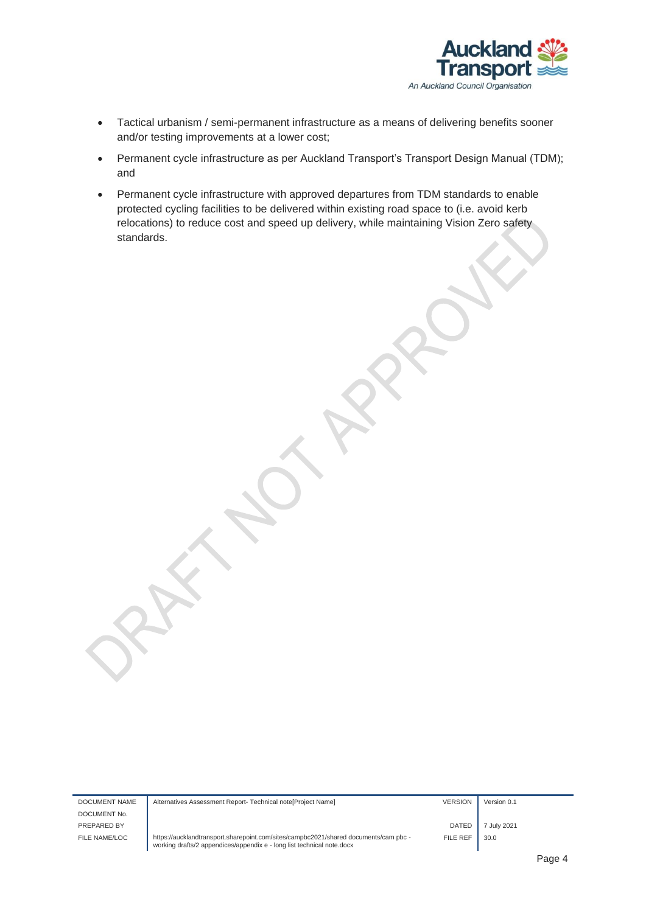

- Tactical urbanism / semi-permanent infrastructure as a means of delivering benefits sooner and/or testing improvements at a lower cost;
- Permanent cycle infrastructure as per Auckland Transport's Transport Design Manual (TDM); and
- Permanent cycle infrastructure with approved departures from TDM standards to enable protected cycling facilities to be delivered within existing road space to (i.e. avoid kerb relocations) to reduce cost and speed up delivery, while maintaining Vision Zero safety standards.

DOCUMENT NAME DOCUMENT No. PREPARED BY FILE NAME/LOC

| Alternatives Assessment Report- Technical note [Project Name]                                                                                                  | <b>VERSION</b> | Version 0.1 |
|----------------------------------------------------------------------------------------------------------------------------------------------------------------|----------------|-------------|
|                                                                                                                                                                | <b>DATED</b>   | 7 July 2021 |
| https://aucklandtransport.sharepoint.com/sites/campbc2021/shared documents/cam pbc -<br>working drafts/2 appendices/appendix e - long list technical note.docx | FILE REF       | 30.0        |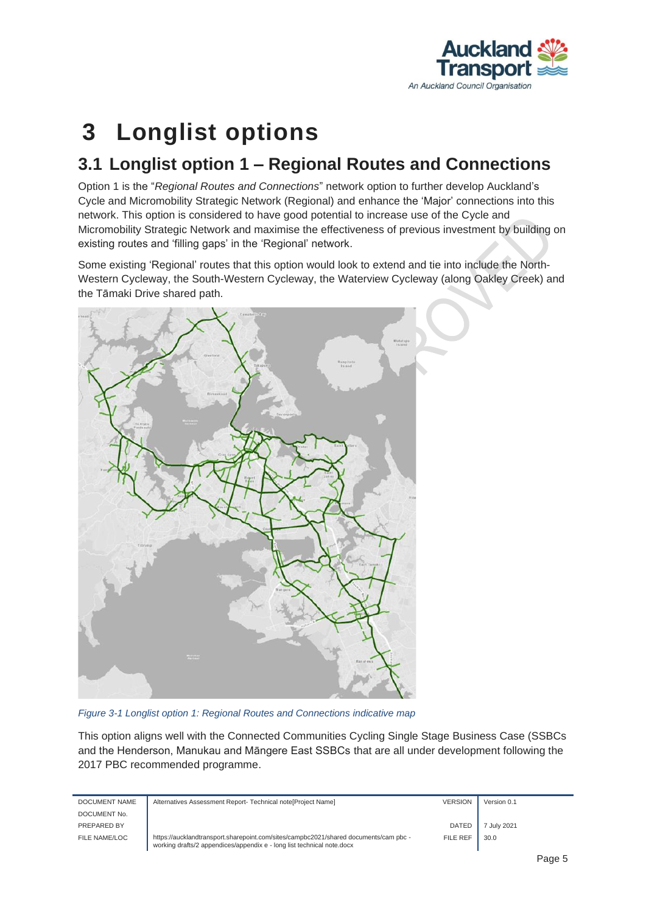

### <span id="page-6-0"></span>**3 Longlist options**

#### <span id="page-6-1"></span>**3.1 Longlist option 1 – Regional Routes and Connections**

Option 1 is the "*Regional Routes and Connections*" network option to further develop Auckland's Cycle and Micromobility Strategic Network (Regional) and enhance the 'Major' connections into this network. This option is considered to have good potential to increase use of the Cycle and Micromobility Strategic Network and maximise the effectiveness of previous investment by building on existing routes and 'filling gaps' in the 'Regional' network.

Some existing 'Regional' routes that this option would look to extend and tie into include the North-Western Cycleway, the South-Western Cycleway, the Waterview Cycleway (along Oakley Creek) and the Tāmaki Drive shared path.



*Figure 3-1 Longlist option 1: Regional Routes and Connections indicative map*

This option aligns well with the Connected Communities Cycling Single Stage Business Case (SSBCs and the Henderson, Manukau and Māngere East SSBCs that are all under development following the 2017 PBC recommended programme.

| DOCUMENT NAME | Alternatives Assessment Report- Technical note[Project Name]                                                                                                   | <b>VERSION</b>  | Version 0.1 |
|---------------|----------------------------------------------------------------------------------------------------------------------------------------------------------------|-----------------|-------------|
| DOCUMENT No.  |                                                                                                                                                                |                 |             |
| PREPARED BY   |                                                                                                                                                                | <b>DATED</b>    | 7 July 2021 |
| FILE NAME/LOC | https://aucklandtransport.sharepoint.com/sites/campbc2021/shared documents/cam pbc -<br>working drafts/2 appendices/appendix e - long list technical note.docx | <b>FILE REF</b> | 30.0        |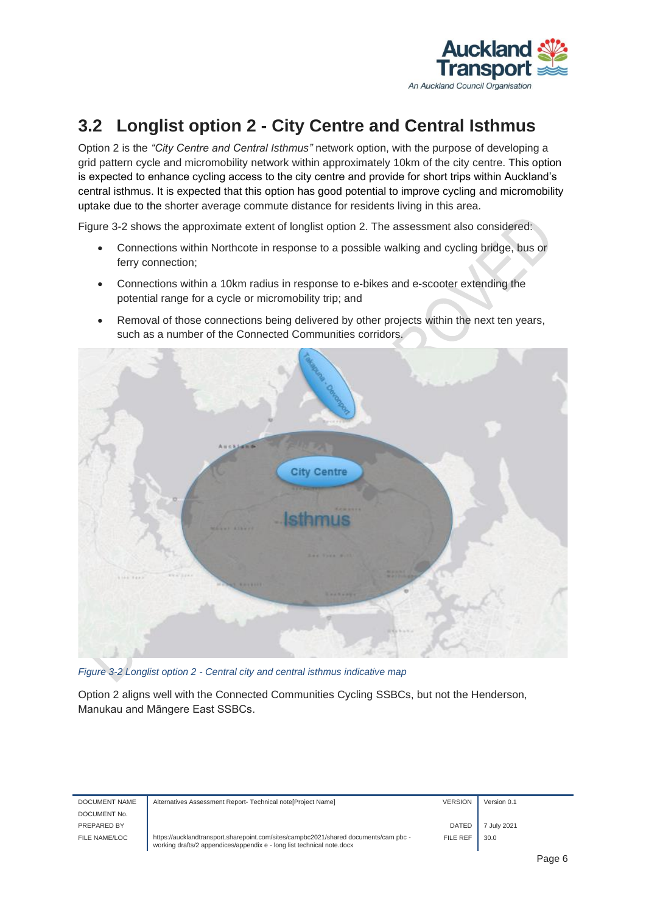

### <span id="page-7-0"></span>**3.2 Longlist option 2 - City Centre and Central Isthmus**

Option 2 is the *"City Centre and Central Isthmus"* network option, with the purpose of developing a grid pattern cycle and micromobility network within approximately 10km of the city centre. This option is expected to enhance cycling access to the city centre and provide for short trips within Auckland's central isthmus. It is expected that this option has good potential to improve cycling and micromobility uptake due to the shorter average commute distance for residents living in this area.

[Figure 3-2](#page-7-1) shows the approximate extent of longlist option 2. The assessment also considered:

- Connections within Northcote in response to a possible walking and cycling bridge, bus or ferry connection;
- Connections within a 10km radius in response to e-bikes and e-scooter extending the potential range for a cycle or micromobility trip; and
- Removal of those connections being delivered by other projects within the next ten years, such as a number of the Connected Communities corridors.



*Figure 3-2 Longlist option 2 - Central city and central isthmus indicative map*

<span id="page-7-1"></span>Option 2 aligns well with the Connected Communities Cycling SSBCs, but not the Henderson, Manukau and Māngere East SSBCs.

| DOCUMENT NAME | Alternatives Assessment Report- Technical note [Project Name]                                                                                                  | <b>VERSION</b>  | Version 0.1 |  |
|---------------|----------------------------------------------------------------------------------------------------------------------------------------------------------------|-----------------|-------------|--|
| DOCUMENT No.  |                                                                                                                                                                |                 |             |  |
| PREPARED BY   |                                                                                                                                                                | <b>DATED</b>    | 7 July 2021 |  |
| FILE NAME/LOC | https://aucklandtransport.sharepoint.com/sites/campbc2021/shared documents/cam pbc -<br>working drafts/2 appendices/appendix e - long list technical note.docx | <b>FILE REF</b> | 30.0        |  |
|               |                                                                                                                                                                |                 | -           |  |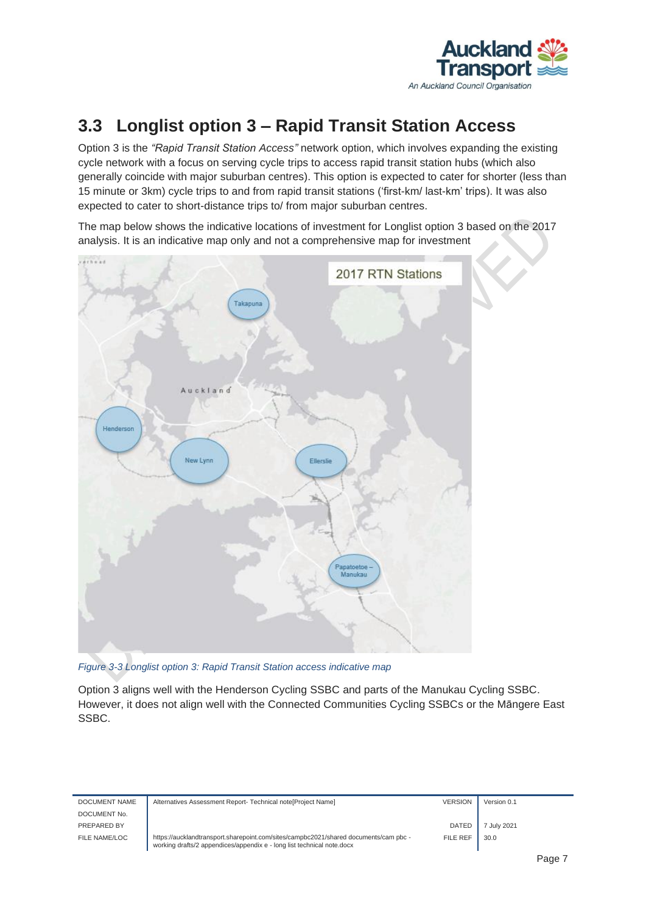

### <span id="page-8-0"></span>**3.3 Longlist option 3 – Rapid Transit Station Access**

Option 3 is the *"Rapid Transit Station Access"* network option, which involves expanding the existing cycle network with a focus on serving cycle trips to access rapid transit station hubs (which also generally coincide with major suburban centres). This option is expected to cater for shorter (less than 15 minute or 3km) cycle trips to and from rapid transit stations ('first-km/ last-km' trips). It was also expected to cater to short-distance trips to/ from major suburban centres.

The map below shows the indicative locations of investment for Longlist option 3 based on the 2017 analysis. It is an indicative map only and not a comprehensive map for investment



*Figure 3-3 Longlist option 3: Rapid Transit Station access indicative map*

Option 3 aligns well with the Henderson Cycling SSBC and parts of the Manukau Cycling SSBC. However, it does not align well with the Connected Communities Cycling SSBCs or the Māngere East SSBC.

| DOCUMENT NAME | Alternatives Assessment Report- Technical note [Project Name]                                                                                                  | <b>VERSION</b> | Version 0.1 |  |
|---------------|----------------------------------------------------------------------------------------------------------------------------------------------------------------|----------------|-------------|--|
| DOCUMENT No.  |                                                                                                                                                                |                |             |  |
| PREPARED BY   |                                                                                                                                                                | <b>DATED</b>   | 7 July 2021 |  |
| FILE NAME/LOC | https://aucklandtransport.sharepoint.com/sites/campbc2021/shared documents/cam pbc -<br>working drafts/2 appendices/appendix e - long list technical note.docx | FILE REF       | 30.0        |  |
|               |                                                                                                                                                                |                |             |  |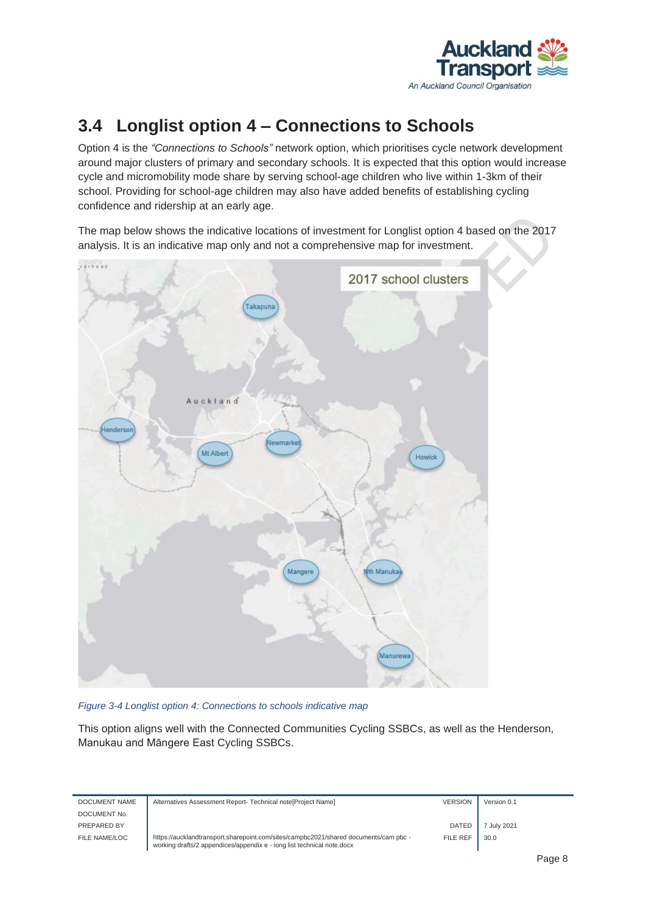

#### <span id="page-9-0"></span>**3.4 Longlist option 4 – Connections to Schools**

Option 4 is the *"Connections to Schools"* network option, which prioritises cycle network development around major clusters of primary and secondary schools. It is expected that this option would increase cycle and micromobility mode share by serving school-age children who live within 1-3km of their school. Providing for school-age children may also have added benefits of establishing cycling confidence and ridership at an early age.

The map below shows the indicative locations of investment for Longlist option 4 based on the 2017 analysis. It is an indicative map only and not a comprehensive map for investment.



*Figure 3-4 Longlist option 4: Connections to schools indicative map* 

This option aligns well with the Connected Communities Cycling SSBCs, as well as the Henderson, Manukau and Māngere East Cycling SSBCs.

| DOCUMENT NAME | Alternatives Assessment Report- Technical note[Project Name]                                                                                                   | <b>VERSION</b> | Version 0.1 |  |
|---------------|----------------------------------------------------------------------------------------------------------------------------------------------------------------|----------------|-------------|--|
| DOCUMENT No.  |                                                                                                                                                                |                |             |  |
| PREPARED BY   |                                                                                                                                                                | <b>DATED</b>   | July 2021   |  |
| FILE NAME/LOC | https://aucklandtransport.sharepoint.com/sites/campbc2021/shared documents/cam pbc -<br>working drafts/2 appendices/appendix e - long list technical note.docx | FILE REF       | 30.0        |  |
|               |                                                                                                                                                                |                |             |  |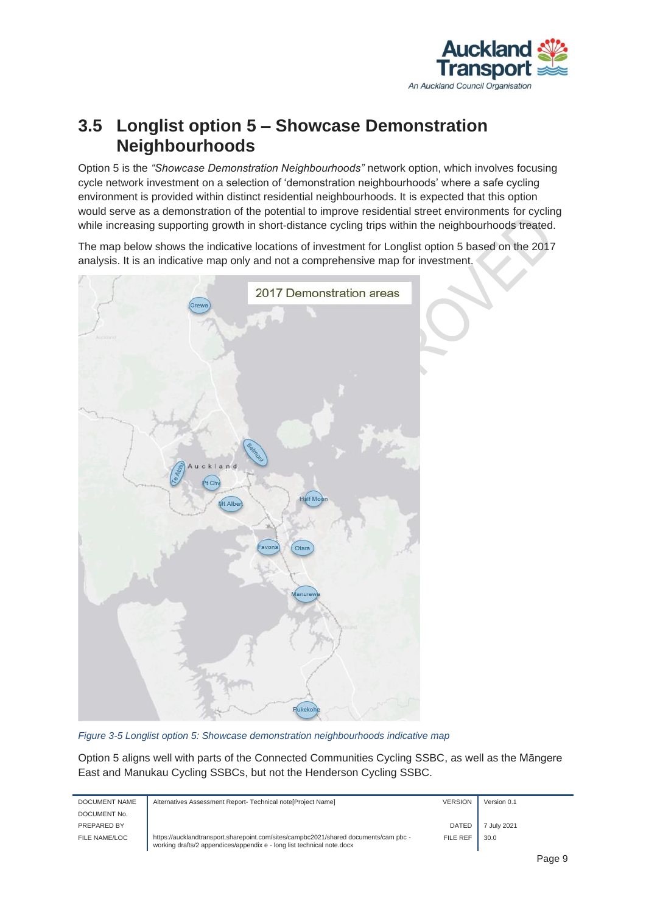

#### <span id="page-10-0"></span>**3.5 Longlist option 5 – Showcase Demonstration Neighbourhoods**

Option 5 is the *"Showcase Demonstration Neighbourhoods"* network option, which involves focusing cycle network investment on a selection of 'demonstration neighbourhoods' where a safe cycling environment is provided within distinct residential neighbourhoods. It is expected that this option would serve as a demonstration of the potential to improve residential street environments for cycling while increasing supporting growth in short-distance cycling trips within the neighbourhoods treated.

The map below shows the indicative locations of investment for Longlist option 5 based on the 2017 analysis. It is an indicative map only and not a comprehensive map for investment.



*Figure 3-5 Longlist option 5: Showcase demonstration neighbourhoods indicative map*

Option 5 aligns well with parts of the Connected Communities Cycling SSBC, as well as the Māngere East and Manukau Cycling SSBCs, but not the Henderson Cycling SSBC.

| DOCUMENT NAME | Alternatives Assessment Report- Technical note [Project Name]                                                                                                  | <b>VERSION</b> | Version 0.1 |
|---------------|----------------------------------------------------------------------------------------------------------------------------------------------------------------|----------------|-------------|
| DOCUMENT No.  |                                                                                                                                                                |                |             |
| PREPARED BY   |                                                                                                                                                                | <b>DATED</b>   | 7 July 2021 |
| FILE NAME/LOC | https://aucklandtransport.sharepoint.com/sites/campbc2021/shared documents/cam pbc -<br>working drafts/2 appendices/appendix e - long list technical note.docx | FILE REF       | 30.0        |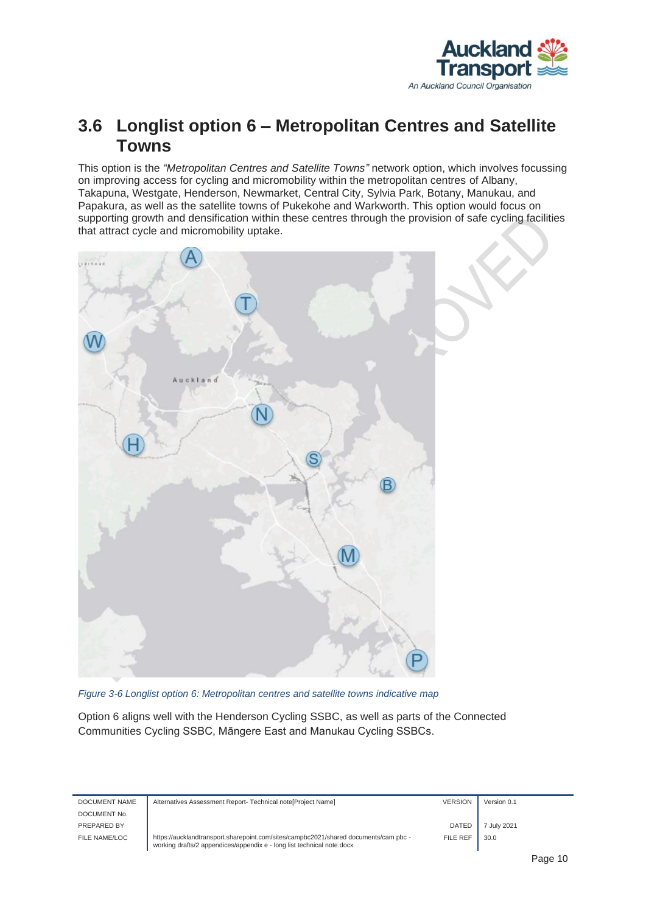

#### <span id="page-11-0"></span>**3.6 Longlist option 6 – Metropolitan Centres and Satellite Towns**

This option is the *"Metropolitan Centres and Satellite Towns"* network option, which involves focussing on improving access for cycling and micromobility within the metropolitan centres of Albany, Takapuna, Westgate, Henderson, Newmarket, Central City, Sylvia Park, Botany, Manukau, and Papakura, as well as the satellite towns of Pukekohe and Warkworth. This option would focus on supporting growth and densification within these centres through the provision of safe cycling facilities that attract cycle and micromobility uptake.



*Figure 3-6 Longlist option 6: Metropolitan centres and satellite towns indicative map*

Option 6 aligns well with the Henderson Cycling SSBC, as well as parts of the Connected Communities Cycling SSBC, Māngere East and Manukau Cycling SSBCs.

| DOCUMENT NAME | Alternatives Assessment Report- Technical note [Project Name]                                                                                                  | <b>VERSION</b> | Version 0.1 |
|---------------|----------------------------------------------------------------------------------------------------------------------------------------------------------------|----------------|-------------|
| DOCUMENT No.  |                                                                                                                                                                |                |             |
| PREPARED BY   |                                                                                                                                                                | <b>DATED</b>   | 7 July 2021 |
| FILE NAME/LOC | https://aucklandtransport.sharepoint.com/sites/campbc2021/shared documents/cam pbc -<br>working drafts/2 appendices/appendix e - long list technical note.docx | FILE REF       | 30.0        |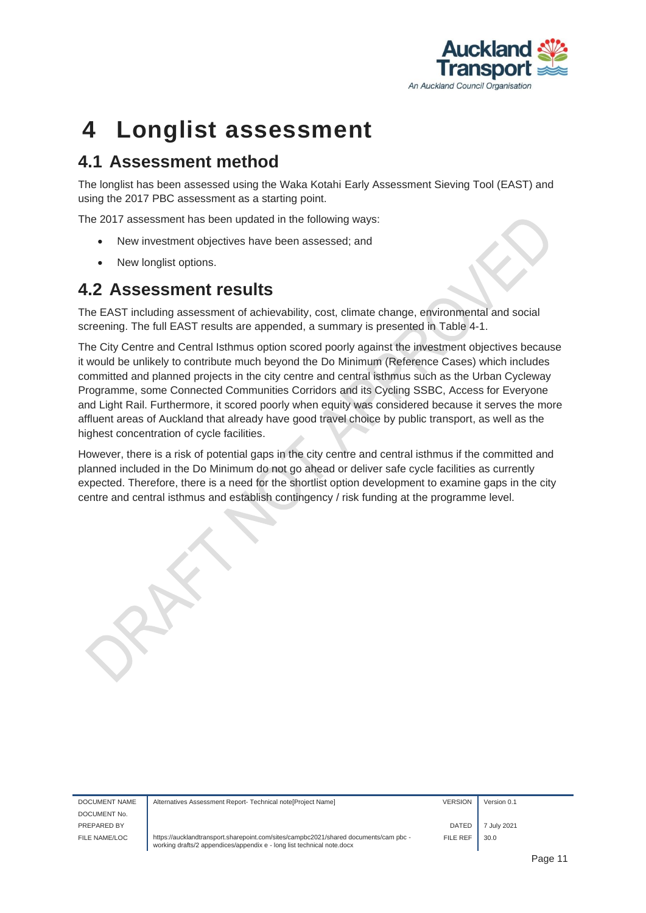

### <span id="page-12-0"></span>**4 Longlist assessment**

#### <span id="page-12-1"></span>**4.1 Assessment method**

The longlist has been assessed using the Waka Kotahi Early Assessment Sieving Tool (EAST) and using the 2017 PBC assessment as a starting point.

The 2017 assessment has been updated in the following ways:

- New investment objectives have been assessed; and
- New longlist options.

#### <span id="page-12-2"></span>**4.2 Assessment results**

The EAST including assessment of achievability, cost, climate change, environmental and social screening. The full EAST results are appended, a summary is presented in [Table 4-1.](#page-13-0)

The City Centre and Central Isthmus option scored poorly against the investment objectives because it would be unlikely to contribute much beyond the Do Minimum (Reference Cases) which includes committed and planned projects in the city centre and central isthmus such as the Urban Cycleway Programme, some Connected Communities Corridors and its Cycling SSBC, Access for Everyone and Light Rail. Furthermore, it scored poorly when equity was considered because it serves the more affluent areas of Auckland that already have good travel choice by public transport, as well as the highest concentration of cycle facilities.

However, there is a risk of potential gaps in the city centre and central isthmus if the committed and planned included in the Do Minimum do not go ahead or deliver safe cycle facilities as currently expected. Therefore, there is a need for the shortlist option development to examine gaps in the city centre and central isthmus and establish contingency / risk funding at the programme level.

| DOCUMENT NAME | Alternatives Assessment Report- Technical note[Project Name]                                                                                                   | <b>VERSION</b> | Version 0.1 |  |
|---------------|----------------------------------------------------------------------------------------------------------------------------------------------------------------|----------------|-------------|--|
| DOCUMENT No.  |                                                                                                                                                                |                |             |  |
| PREPARED BY   |                                                                                                                                                                | DATED          | 7 July 2021 |  |
| FILE NAME/LOC | https://aucklandtransport.sharepoint.com/sites/campbc2021/shared documents/cam pbc -<br>working drafts/2 appendices/appendix e - long list technical note.docx | FILE REF       | 30.0        |  |
|               |                                                                                                                                                                |                |             |  |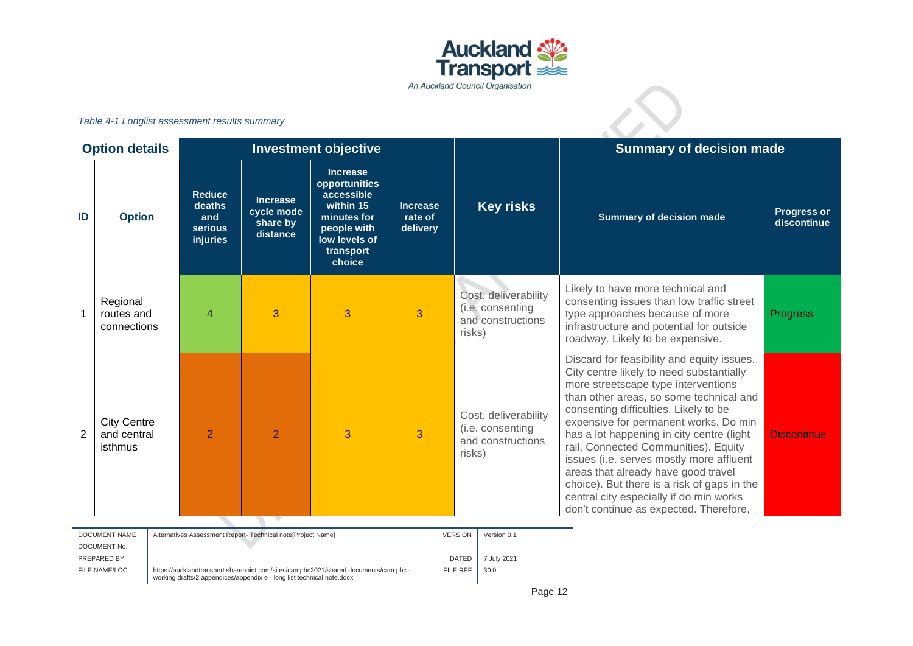

#### *Table 4-1 Longlist assessment results summary*

| Table 4-1 Longlist assessment results summary |                                              |                                                              |                                                       |                                                                                                                                   |                                        |                                                                         |                                                                                                                                                                                                                                                                                                                                                                                                                                                                                                                                                                        |                                   |
|-----------------------------------------------|----------------------------------------------|--------------------------------------------------------------|-------------------------------------------------------|-----------------------------------------------------------------------------------------------------------------------------------|----------------------------------------|-------------------------------------------------------------------------|------------------------------------------------------------------------------------------------------------------------------------------------------------------------------------------------------------------------------------------------------------------------------------------------------------------------------------------------------------------------------------------------------------------------------------------------------------------------------------------------------------------------------------------------------------------------|-----------------------------------|
|                                               | <b>Option details</b>                        |                                                              |                                                       | <b>Investment objective</b>                                                                                                       |                                        |                                                                         | <b>Summary of decision made</b>                                                                                                                                                                                                                                                                                                                                                                                                                                                                                                                                        |                                   |
| ID                                            | <b>Option</b>                                | <b>Reduce</b><br>deaths<br>and<br><b>serious</b><br>injuries | <b>Increase</b><br>cycle mode<br>share by<br>distance | <b>Increase</b><br>opportunities<br>accessible<br>within 15<br>minutes for<br>people with<br>low levels of<br>transport<br>choice | <b>Increase</b><br>rate of<br>delivery | <b>Key risks</b>                                                        | <b>Summary of decision made</b>                                                                                                                                                                                                                                                                                                                                                                                                                                                                                                                                        | <b>Progress or</b><br>discontinue |
|                                               | Regional<br>routes and<br>connections        | $\overline{\mathcal{A}}$                                     | 3                                                     | 3                                                                                                                                 | 3                                      | Cost, deliverability<br>(i.e. consenting<br>and constructions<br>risks) | Likely to have more technical and<br>consenting issues than low traffic street<br>type approaches because of more<br>infrastructure and potential for outside<br>roadway. Likely to be expensive.                                                                                                                                                                                                                                                                                                                                                                      | Progress                          |
| $\overline{2}$                                | <b>City Centre</b><br>and central<br>isthmus | $\overline{2}$                                               | $\overline{2}$                                        | 3                                                                                                                                 | 3                                      | Cost, deliverability<br>(i.e. consenting<br>and constructions<br>risks) | Discard for feasibility and equity issues.<br>City centre likely to need substantially<br>more streetscape type interventions<br>than other areas, so some technical and<br>consenting difficulties. Likely to be<br>expensive for permanent works. Do min<br>has a lot happening in city centre (light<br>rail, Connected Communities). Equity<br>issues (i.e. serves mostly more affluent<br>areas that already have good travel<br>choice). But there is a risk of gaps in the<br>central city especially if do min works<br>don't continue as expected. Therefore, | <b>Discontinue</b>                |

<span id="page-13-0"></span>

| DOCUMENT NAME | Alternatives Assessment Report- Technical note[Project Name]                                                                                                   | <b>VERSION</b> | Version 0.1 |
|---------------|----------------------------------------------------------------------------------------------------------------------------------------------------------------|----------------|-------------|
| DOCUMENT No.  |                                                                                                                                                                |                |             |
| PREPARED BY   |                                                                                                                                                                | DATED          | 7 July 2021 |
| FILE NAME/LOC | https://aucklandtransport.sharepoint.com/sites/campbc2021/shared documents/cam pbc -<br>working drafts/2 appendices/appendix e - long list technical note.docx | FILE REF       | 30.0        |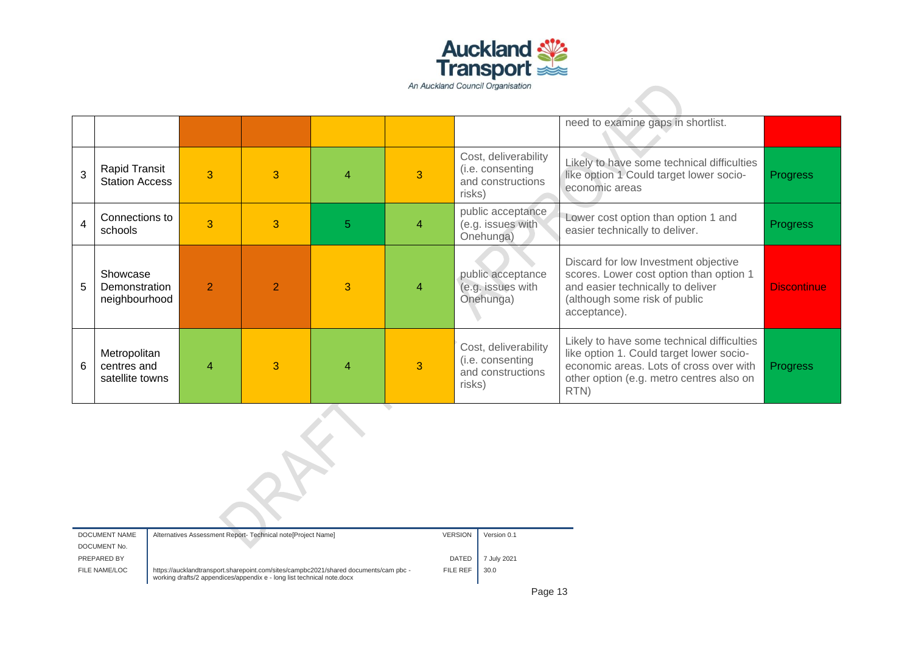

|                         |                                                |                        |                |                |   |                                                                         | need to examine gaps in shortlist.                                                                                                                                                    |                    |
|-------------------------|------------------------------------------------|------------------------|----------------|----------------|---|-------------------------------------------------------------------------|---------------------------------------------------------------------------------------------------------------------------------------------------------------------------------------|--------------------|
| 3                       | Rapid Transit<br><b>Station Access</b>         | $\overline{3}$         | 3              | 4              | 3 | Cost, deliverability<br>(i.e. consenting<br>and constructions<br>risks) | Likely to have some technical difficulties<br>like option 1 Could target lower socio-<br>economic areas                                                                               | <b>Progress</b>    |
| $\overline{\mathbf{4}}$ | Connections to<br>schools                      | 3                      | 3              | $\overline{5}$ | 4 | public acceptance<br>(e.g. issues with<br>Onehunga)                     | Lower cost option than option 1 and<br>easier technically to deliver.                                                                                                                 | <b>Progress</b>    |
| 5                       | Showcase<br>Demonstration<br>neighbourhood     | $\overline{2}$         | $\overline{2}$ | 3              | 4 | public acceptance<br>(e.g. issues with<br>Onehunga)                     | Discard for low Investment objective<br>scores. Lower cost option than option 1<br>and easier technically to deliver<br>(although some risk of public<br>acceptance).                 | <b>Discontinue</b> |
| 6                       | Metropolitan<br>centres and<br>satellite towns | $\boldsymbol{\Lambda}$ | 3              | 4              | 3 | Cost, deliverability<br>(i.e. consenting<br>and constructions<br>risks) | Likely to have some technical difficulties<br>like option 1. Could target lower socio-<br>economic areas. Lots of cross over with<br>other option (e.g. metro centres also on<br>RTN) | <b>Progress</b>    |
|                         |                                                |                        |                |                |   |                                                                         |                                                                                                                                                                                       |                    |
|                         |                                                |                        |                |                |   |                                                                         |                                                                                                                                                                                       |                    |

| DOCUMENT NAME | Alternatives Assessment Report- Technical note[Project Name]                                                                                                   | <b>VERSION</b>  | Version 0.1 |
|---------------|----------------------------------------------------------------------------------------------------------------------------------------------------------------|-----------------|-------------|
| DOCUMENT No.  |                                                                                                                                                                |                 |             |
| PREPARED BY   |                                                                                                                                                                | DATED           | 7 July 2021 |
| FILE NAME/LOC | https://aucklandtransport.sharepoint.com/sites/campbc2021/shared documents/cam pbc -<br>working drafts/2 appendices/appendix e - long list technical note.docx | <b>FILE REF</b> | 30.0        |